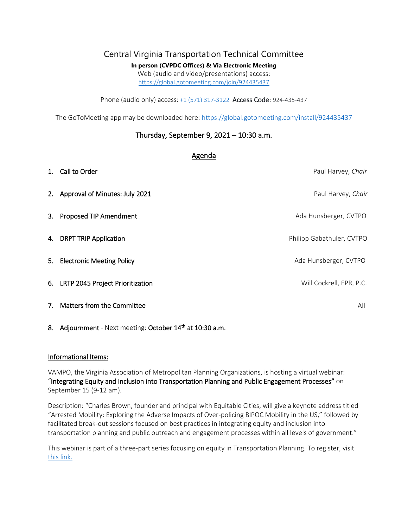### Central Virginia Transportation Technical Committee **In person (CVPDC Offices) & Via Electronic Meeting** Web (audio and video/presentations) access: <https://global.gotomeeting.com/join/924435437>

Phone (audio only) access: [+1 \(571\) 317-3122](tel:+15713173122,,924435437) Access Code: 924-435-437

The GoToMeeting app may be downloaded here: <https://global.gotomeeting.com/install/924435437>

#### Thursday, September 9, 2021 – 10:30 a.m.

#### Agenda

| 1. Call to Order                    | Paul Harvey, Chair        |
|-------------------------------------|---------------------------|
| 2. Approval of Minutes: July 2021   | Paul Harvey, Chair        |
| 3. Proposed TIP Amendment           | Ada Hunsberger, CVTPO     |
| 4. DRPT TRIP Application            | Philipp Gabathuler, CVTPO |
| 5. Electronic Meeting Policy        | Ada Hunsberger, CVTPO     |
| 6. LRTP 2045 Project Prioritization | Will Cockrell, EPR, P.C.  |
| 7. Matters from the Committee       | All                       |

8. Adjournment - Next meeting: October 14<sup>th</sup> at 10:30 a.m.

#### Informational Items:

VAMPO, the Virginia Association of Metropolitan Planning Organizations, is hosting a virtual webinar: "Integrating Equity and Inclusion into Transportation Planning and Public Engagement Processes" on September 15 (9-12 am).

Description: "Charles Brown, founder and principal with Equitable Cities, will give a keynote address titled "Arrested Mobility: Exploring the Adverse Impacts of Over-policing BIPOC Mobility in the US," followed by facilitated break-out sessions focused on best practices in integrating equity and inclusion into transportation planning and public outreach and engagement processes within all levels of government."

This webinar is part of a three-part series focusing on equity in Transportation Planning. To register, visit [this link.](https://events.r20.constantcontact.com/register/eventReg?oeidk=a07eiem20e29b093bf8)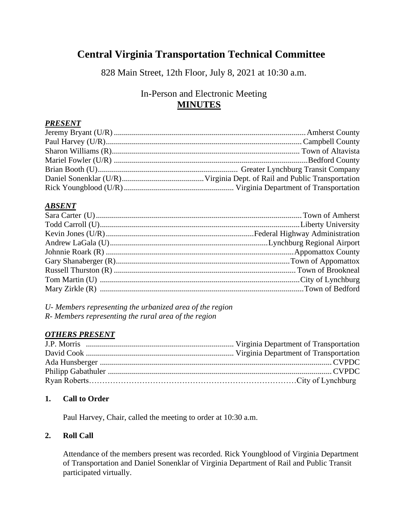# **Central Virginia Transportation Technical Committee**

828 Main Street, 12th Floor, July 8, 2021 at 10:30 a.m.

# In-Person and Electronic Meeting  **MINUTES**

## *PRESENT*

## *ABSENT*

*U- Members representing the urbanized area of the region R- Members representing the rural area of the region*

# *OTHERS PRESENT*

## **1. Call to Order**

Paul Harvey, Chair, called the meeting to order at 10:30 a.m.

# **2. Roll Call**

Attendance of the members present was recorded. Rick Youngblood of Virginia Department of Transportation and Daniel Sonenklar of Virginia Department of Rail and Public Transit participated virtually.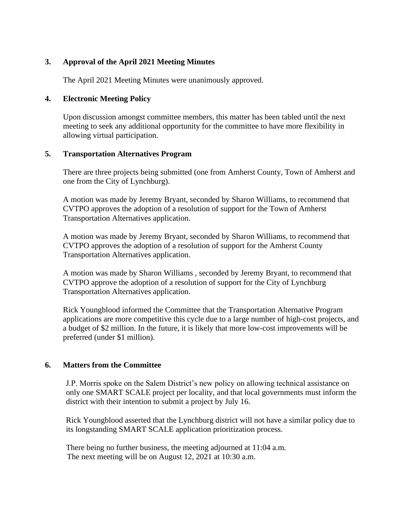#### **3. Approval of the April 2021 Meeting Minutes**

The April 2021 Meeting Minutes were unanimously approved.

#### **4. Electronic Meeting Policy**

Upon discussion amongst committee members, this matter has been tabled until the next meeting to seek any additional opportunity for the committee to have more flexibility in allowing virtual participation.

#### **5. Transportation Alternatives Program**

There are three projects being submitted (one from Amherst County, Town of Amherst and one from the City of Lynchburg).

A motion was made by Jeremy Bryant, seconded by Sharon Williams, to recommend that CVTPO approves the adoption of a resolution of support for the Town of Amherst Transportation Alternatives application.

A motion was made by Jeremy Bryant, seconded by Sharon Williams, to recommend that CVTPO approves the adoption of a resolution of support for the Amherst County Transportation Alternatives application.

A motion was made by Sharon Williams , seconded by Jeremy Bryant, to recommend that CVTPO approve the adoption of a resolution of support for the City of Lynchburg Transportation Alternatives application.

Rick Youngblood informed the Committee that the Transportation Alternative Program applications are more competitive this cycle due to a large number of high-cost projects, and a budget of \$2 million. In the future, it is likely that more low-cost improvements will be preferred (under \$1 million).

## **6. Matters from the Committee**

J.P. Morris spoke on the Salem District's new policy on allowing technical assistance on only one SMART SCALE project per locality, and that local governments must inform the district with their intention to submit a project by July 16.

Rick Youngblood asserted that the Lynchburg district will not have a similar policy due to its longstanding SMART SCALE application prioritization process.

There being no further business, the meeting adjourned at 11:04 a.m*.* The next meeting will be on August 12, 2021 at 10:30 a.m.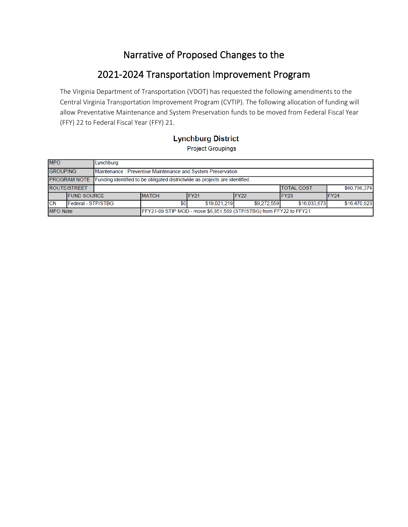# Narrative of Proposed Changes to the

# 2021-2024 Transportation Improvement Program

The Virginia Department of Transportation (VDOT) has requested the following amendments to the Central Virginia Transportation Improvement Program (CVTIP). The following allocation of funding will allow Preventative Maintenance and System Preservation funds to be moved from Federal Fiscal Year (FFY) 22 to Federal Fiscal Year (FFY) 21.

# **Lynchburg District**

**Project Groupings** 

| <b>MPO</b>                      | Lynchburg           |              |                                                                     |                                                                             |             |                   |  |              |  |  |  |
|---------------------------------|---------------------|--------------|---------------------------------------------------------------------|-----------------------------------------------------------------------------|-------------|-------------------|--|--------------|--|--|--|
| <b>GROUPING</b>                 |                     |              |                                                                     | Maintenance: Preventive Maintenance and System Preservation                 |             |                   |  |              |  |  |  |
|                                 | <b>PROGRAM NOTE</b> |              |                                                                     | Funding identified to be obligated districtwide as projects are identified. |             |                   |  |              |  |  |  |
|                                 | <b>ROUTE/STREET</b> |              |                                                                     |                                                                             |             | <b>TOTAL COST</b> |  | \$60,798,374 |  |  |  |
| <b>FUND SOURCE</b>              |                     | <b>MATCH</b> | IFY21                                                               | FY <sub>22</sub>                                                            | IFY23       | IFY24             |  |              |  |  |  |
| <b>CN</b><br>Federal - STP/STBG |                     |              | \$OI                                                                | \$19,021,219                                                                | \$9,272,559 | \$16,033,673      |  | \$16,470,923 |  |  |  |
| <b>MPO</b> Note                 |                     |              | FFY21-09 STIP MOD - move \$6,851,559 (STP/STBG) from FFY22 to FFY21 |                                                                             |             |                   |  |              |  |  |  |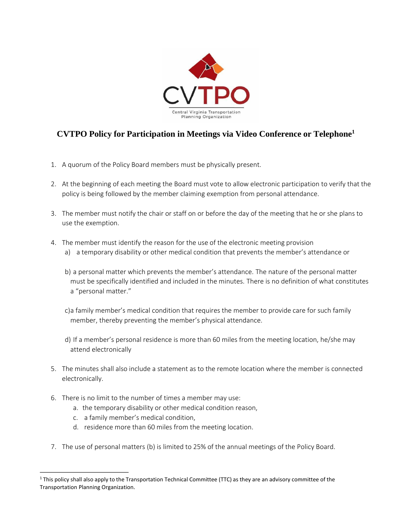

# **CVTPO Policy for Participation in Meetings via Video Conference or Telephone<sup>1</sup>**

- 1. A quorum of the Policy Board members must be physically present.
- 2. At the beginning of each meeting the Board must vote to allow electronic participation to verify that the policy is being followed by the member claiming exemption from personal attendance.
- 3. The member must notify the chair or staff on or before the day of the meeting that he or she plans to use the exemption.
- 4. The member must identify the reason for the use of the electronic meeting provision
	- a) <sup>a</sup> temporary disability or other medical condition that prevents the member's attendance or
	- b) a personal matter which prevents the member's attendance. The nature of the personal matter must be specifically identified and included in the minutes. There is no definition of what constitutes <sup>a</sup> "personal matter."
	- c)a family member's medical condition that requires the member to provide care for such family member, thereby preventing the member's physical attendance.
	- d) If a member's personal residence is more than 60 miles from the meeting location, he/she may attend electronically
- 5. The minutes shall also include <sup>a</sup> statement as to the remote location where the member is connected electronically.
- 6. There is no limit to the number of times a member may use:
	- a. the temporary disability or other medical condition reason,
	- c. <sup>a</sup> family member's medical condition,
	- d. residence more than 60 miles from the meeting location.
- 7. The use of personal matters (b) is limited to 25% of the annual meetings of the Policy Board.

 $1$  This policy shall also apply to the Transportation Technical Committee (TTC) as they are an advisory committee of the Transportation Planning Organization.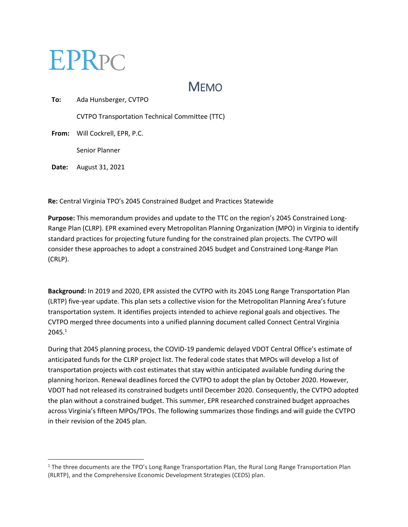# EPRPC

**MEMO** 

| To:   | Ada Hunsberger, CVTPO                                 |
|-------|-------------------------------------------------------|
|       | <b>CVTPO Transportation Technical Committee (TTC)</b> |
|       | <b>From:</b> Will Cockrell, EPR, P.C.                 |
|       | Senior Planner                                        |
| Date: | August 31, 2021                                       |

**Re:** Central Virginia TPO's 2045 Constrained Budget and Practices Statewide

**Purpose:** This memorandum provides and update to the TTC on the region's 2045 Constrained Long-Range Plan (CLRP). EPR examined every Metropolitan Planning Organization (MPO) in Virginia to identify standard practices for projecting future funding for the constrained plan projects. The CVTPO will consider these approaches to adopt a constrained 2045 budget and Constrained Long-Range Plan (CRLP).

**Background:** In 2019 and 2020, EPR assisted the CVTPO with its 2045 Long Range Transportation Plan (LRTP) five-year update. This plan sets a collective vision for the Metropolitan Planning Area's future transportation system. It identifies projects intended to achieve regional goals and objectives. The CVTPO merged three documents into a unified planning document called Connect Central Virginia  $2045.<sup>1</sup>$ 

During that 2045 planning process, the COVID-19 pandemic delayed VDOT Central Office's estimate of anticipated funds for the CLRP project list. The federal code states that MPOs will develop a list of transportation projects with cost estimates that stay within anticipated available funding during the planning horizon. Renewal deadlines forced the CVTPO to adopt the plan by October 2020. However, VDOT had not released its constrained budgets until December 2020. Consequently, the CVTPO adopted the plan without a constrained budget. This summer, EPR researched constrained budget approaches across Virginia's fifteen MPOs/TPOs. The following summarizes those findings and will guide the CVTPO in their revision of the 2045 plan.

 $1$  The three documents are the TPO's Long Range Transportation Plan, the Rural Long Range Transportation Plan (RLRTP), and the Comprehensive Economic Development Strategies (CEDS) plan.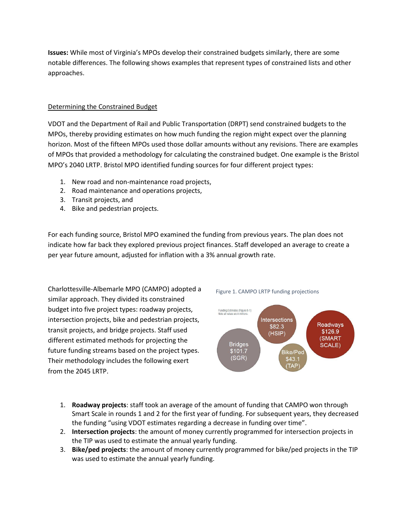**Issues:** While most of Virginia's MPOs develop their constrained budgets similarly, there are some notable differences. The following shows examples that represent types of constrained lists and other approaches.

#### Determining the Constrained Budget

VDOT and the Department of Rail and Public Transportation (DRPT) send constrained budgets to the MPOs, thereby providing estimates on how much funding the region might expect over the planning horizon. Most of the fifteen MPOs used those dollar amounts without any revisions. There are examples of MPOs that provided a methodology for calculating the constrained budget. One example is the Bristol MPO's 2040 LRTP. Bristol MPO identified funding sources for four different project types:

- 1. New road and non-maintenance road projects,
- 2. Road maintenance and operations projects,
- 3. Transit projects, and
- 4. Bike and pedestrian projects.

For each funding source, Bristol MPO examined the funding from previous years. The plan does not indicate how far back they explored previous project finances. Staff developed an average to create a per year future amount, adjusted for inflation with a 3% annual growth rate.

Charlottesville-Albemarle MPO (CAMPO) adopted a similar approach. They divided its constrained budget into five project types: roadway projects, intersection projects, bike and pedestrian projects, transit projects, and bridge projects. Staff used different estimated methods for projecting the future funding streams based on the project types. Their methodology includes the following exert from the 2045 LRTP.





- 1. **Roadway projects**: staff took an average of the amount of funding that CAMPO won through Smart Scale in rounds 1 and 2 for the first year of funding. For subsequent years, they decreased the funding "using VDOT estimates regarding a decrease in funding over time".
- 2. **Intersection projects**: the amount of money currently programmed for intersection projects in the TIP was used to estimate the annual yearly funding.
- 3. **Bike/ped projects**: the amount of money currently programmed for bike/ped projects in the TIP was used to estimate the annual yearly funding.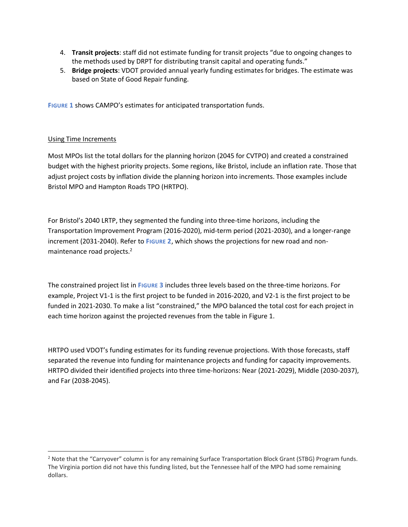- 4. **Transit projects**: staff did not estimate funding for transit projects "due to ongoing changes to the methods used by DRPT for distributing transit capital and operating funds."
- 5. **Bridge projects**: VDOT provided annual yearly funding estimates for bridges. The estimate was based on State of Good Repair funding.

**FIGURE 1** shows CAMPO's estimates for anticipated transportation funds.

#### Using Time Increments

Most MPOs list the total dollars for the planning horizon (2045 for CVTPO) and created a constrained budget with the highest priority projects. Some regions, like Bristol, include an inflation rate. Those that adjust project costs by inflation divide the planning horizon into increments. Those examples include Bristol MPO and Hampton Roads TPO (HRTPO).

For Bristol's 2040 LRTP, they segmented the funding into three-time horizons, including the Transportation Improvement Program (2016-2020), mid-term period (2021-2030), and a longer-range increment (2031-2040). Refer to **FIGURE 2**, which shows the projections for new road and nonmaintenance road projects. 2

The constrained project list in **FIGURE 3** includes three levels based on the three-time horizons. For example, Project V1-1 is the first project to be funded in 2016-2020, and V2-1 is the first project to be funded in 2021-2030. To make a list "constrained," the MPO balanced the total cost for each project in each time horizon against the projected revenues from the table in Figure 1.

HRTPO used VDOT's funding estimates for its funding revenue projections. With those forecasts, staff separated the revenue into funding for maintenance projects and funding for capacity improvements. HRTPO divided their identified projects into three time-horizons: Near (2021-2029), Middle (2030-2037), and Far (2038-2045).

<sup>&</sup>lt;sup>2</sup> Note that the "Carryover" column is for any remaining Surface Transportation Block Grant (STBG) Program funds. The Virginia portion did not have this funding listed, but the Tennessee half of the MPO had some remaining dollars.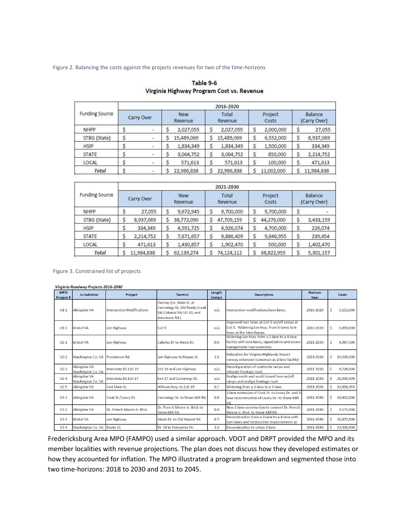Figure 2. Balancing the costs against the projects revenues for two of the time-horizons

|                       |            |                              |                       |            |                  | 2016-2020  |                  |            |                         |            |
|-----------------------|------------|------------------------------|-----------------------|------------|------------------|------------|------------------|------------|-------------------------|------------|
| <b>Funding Source</b> | Carry Over |                              | <b>New</b><br>Revenue |            | Total<br>Revenue |            | Project<br>Costs |            | Balance<br>(Carry Over) |            |
| <b>NHPP</b>           | S          |                              |                       | 2,027,055  | Ś                | 2,027,055  |                  | 2,000,000  | S                       | 27,055     |
| STBG (State)          |            | $\qquad \qquad \blacksquare$ | S                     | 15,489,069 | Ś                | 15,489,069 |                  | 6,552,000  | \$                      | 8,937,069  |
| <b>HSIP</b>           |            |                              |                       | 1,834,349  |                  | 1,834,349  |                  | 1,500,000  | \$                      | 334,349    |
| <b>STATE</b>          |            | ۰                            |                       | 3,064,752  |                  | 3,064,752  |                  | 850,000    | S                       | 2,214,752  |
| LOCAL                 |            | $\overline{\phantom{a}}$     |                       | 571,613    |                  | 571,613    |                  | 100,000    | S                       | 471,613    |
| Total                 | ۰          |                              |                       | 22,986,838 | S                | 22,986,838 |                  | 11,002,000 | Ś                       | 11,984,838 |

| Table 9-6                                 |  |
|-------------------------------------------|--|
| Virginia Highway Program Cost vs. Revenue |  |

|                       |            | 2021-2030  |                       |            |                  |            |                  |            |                         |           |  |
|-----------------------|------------|------------|-----------------------|------------|------------------|------------|------------------|------------|-------------------------|-----------|--|
| <b>Funding Source</b> | Carry Over |            | <b>New</b><br>Revenue |            | Total<br>Revenue |            | Project<br>Costs |            | Balance<br>(Carry Over) |           |  |
| <b>NHPP</b>           |            | 27,055     |                       | 9,672,945  |                  | 9,700,000  | S                | 9,700,000  | \$                      |           |  |
| STBG (State)          | S          | 8,937,069  |                       | 38,772,090 | S                | 47,709,159 | S                | 44,276,000 | S                       | 3,433,159 |  |
| <b>HSIP</b>           |            | 334,349    |                       | 4,591,725  |                  | 4,926,074  |                  | 4,700,000  |                         | 226,074   |  |
| <b>STATE</b>          |            | 2,214,752  |                       | 7,671,657  |                  | 9,886,409  |                  | 9,646,955  |                         | 239,454   |  |
| LOCAL                 |            | 471,613    |                       | 1,430,857  |                  | 1,902,470  |                  | 500,000    |                         | 1,402,470 |  |
| Total                 |            | 11,984,838 |                       | 62,139,274 |                  | 74,124,112 |                  | 68,822,955 |                         | 5,301,157 |  |

#### Figure 3. Constrained list of projects

#### Virginia Roadway Projects 2016-2040

| <b>MPO</b><br>Project# | <b>Jurisdiction</b>              | Project                    | <b>Termini</b>                                                                                             | Length<br>(miles) | <b>Description</b>                                                                                                            | Horizon<br>Year | Costs            |
|------------------------|----------------------------------|----------------------------|------------------------------------------------------------------------------------------------------------|-------------------|-------------------------------------------------------------------------------------------------------------------------------|-----------------|------------------|
| $V1-1$                 | Abingdon VA                      | Intersection Modifications | Various (i.e. Main St. at<br>Cummings St; Old Reedy Creek<br>Rd; Colonial Rd; US 19; and<br>Jonesboro Rd.) | n/a               | Intersection modifications/turn lanes.                                                                                        | 2016-2020       | \$<br>5,152,000  |
| $V1-2$                 | <b>Bristol VA</b>                | Lee Highway                | Exit 5                                                                                                     | n/a               | Improved turn lanes at Exit 5 on/off ramps at<br>Exit 5. Widening Lee Hwy. from 5-lanes to 6-<br>lanes at the interchange.    | 2016-2020       | \$<br>5,850,000  |
| $V2 - 1$               | <b>Bristol VA</b>                | Lee Highway                | Cabelas Dr to Alexis Dr.                                                                                   | 0.9               | Widening Lee Hwy. from a 2-lane to a 4-lane<br>facility with turn lanes, signalization and access<br>management improvements. | 2021-2030       | \$<br>9,987,500  |
| $V2-2$                 | Washington Co. VA                | Providence Rd.             | Lee Highway to Repass St.                                                                                  | 1.0               | Relocation for Virginia Highlands Airport<br>runway extension (construct as 2-lane facility)                                  | 2021-2030       | \$<br>14,241,000 |
| $V2 - 3$               | Abingdon VA<br>Washington Co. VA | Interstate 81 Exit 19      | Exit 19 and Lee Highway                                                                                    | n/a               | Reconfiguration of southside ramps and<br>relocate frontage road.                                                             | 2021-2030       | \$<br>9,736,000  |
| $V_{2-4}$              | Abingdon VA<br>Washington Co. VA | Interstate 81 Exit 17      | Exit 17 and Cummings St.                                                                                   | n/a               | Realign north and south bound lane on/off<br>ramps and realign frontage road                                                  | 2021-2030       | \$<br>21,000,000 |
| $V2-5$                 | Abingdon VA                      | East Main St.              | Hillman Hwy. to Exit 19                                                                                    | 0.7               | Widening from a 3-lane to a 5-lane                                                                                            | 2021-2030       | \$<br>13,858,455 |
| $V3-1$                 | Abingdon VA                      | Cook St./Lowry Dr.         | Cummings St. to Stone Mill Rd.                                                                             | 0.8               | 2-lane extension of Cook St, to Lowry Dr, and 2-<br>lane reconstruction of Lowry Dr. to Stone Mill<br>Rd.                     | 2031-2040       | \$<br>16,802,000 |
| $V3-2$                 | Abingdon VA                      | Dr. French Moore Jr. Blvd. | Dr. French Moore Jr. Blvd. to<br>Stone Mill Rd.                                                            | 0.8               | New 2-lane construction to connect Dr. French<br>Moore Jr. Blvd. to Stone Mill Rd.                                            | 2031-2040       | \$<br>4,575,000  |
| $V3-3$                 | <b>Bristol VA</b>                | Lee Highway                | Alexis Dr. to Old Airport Rd.                                                                              | 0.7               | Reconstruction from a 3-lane to a 4-lane with<br>turn lanes and intersection improvements at                                  | 2031-2040       | \$<br>31,872,000 |
| $V3-4$                 | Washington Co. VA                | Route 11                   | Rt. 58 to Enterprize Dr.                                                                                   | 2.6               | Reconstruction to urban 2-lane.                                                                                               | 2031-2040       | \$<br>23,500,000 |

Fredericksburg Area MPO (FAMPO) used a similar approach. VDOT and DRPT provided the MPO and its member localities with revenue projections. The plan does not discuss how they developed estimates or how they accounted for inflation. The MPO illustrated a program breakdown and segmented those into two time-horizons: 2018 to 2030 and 2031 to 2045.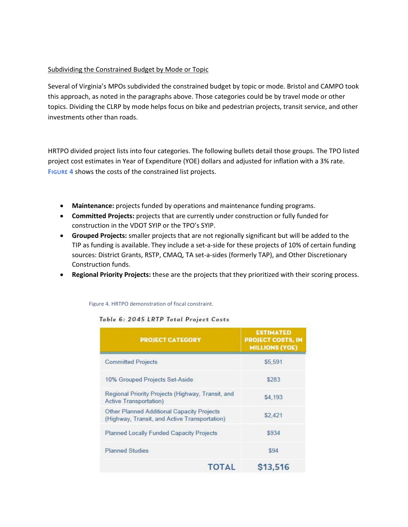#### Subdividing the Constrained Budget by Mode or Topic

Several of Virginia's MPOs subdivided the constrained budget by topic or mode. Bristol and CAMPO took this approach, as noted in the paragraphs above. Those categories could be by travel mode or other topics. Dividing the CLRP by mode helps focus on bike and pedestrian projects, transit service, and other investments other than roads.

HRTPO divided project lists into four categories. The following bullets detail those groups. The TPO listed project cost estimates in Year of Expenditure (YOE) dollars and adjusted for inflation with a 3% rate. **FIGURE 4** shows the costs of the constrained list projects.

- **Maintenance:** projects funded by operations and maintenance funding programs.
- **Committed Projects:** projects that are currently under construction or fully funded for construction in the VDOT SYIP or the TPO's SYIP.
- **Grouped Projects:** smaller projects that are not regionally significant but will be added to the TIP as funding is available. They include a set-a-side for these projects of 10% of certain funding sources: District Grants, RSTP, CMAQ, TA set-a-sides (formerly TAP), and Other Discretionary Construction funds.
- **Regional Priority Projects:** these are the projects that they prioritized with their scoring process.

Figure 4. HRTPO demonstration of fiscal constraint.

#### Table 6: 2045 LRTP Total Project Costs

| <b>PROJECT CATEGORY</b>                                                                     | <b>ESTIMATED</b><br><b>PROJECT COSTS, IN</b><br><b>MILLIONS (YOE)</b> |
|---------------------------------------------------------------------------------------------|-----------------------------------------------------------------------|
| <b>Committed Projects</b>                                                                   | \$5.591                                                               |
| 10% Grouped Projects Set-Aside                                                              | \$283                                                                 |
| Regional Priority Projects (Highway, Transit, and<br><b>Active Transportation)</b>          | \$4,193                                                               |
| Other Planned Additional Capacity Projects<br>(Highway, Transit, and Active Transportation) | \$2,421                                                               |
| <b>Planned Locally Funded Capacity Projects</b>                                             | \$934                                                                 |
| <b>Planned Studies</b>                                                                      | \$94                                                                  |
| <b>TOTAL</b>                                                                                | \$13,516                                                              |